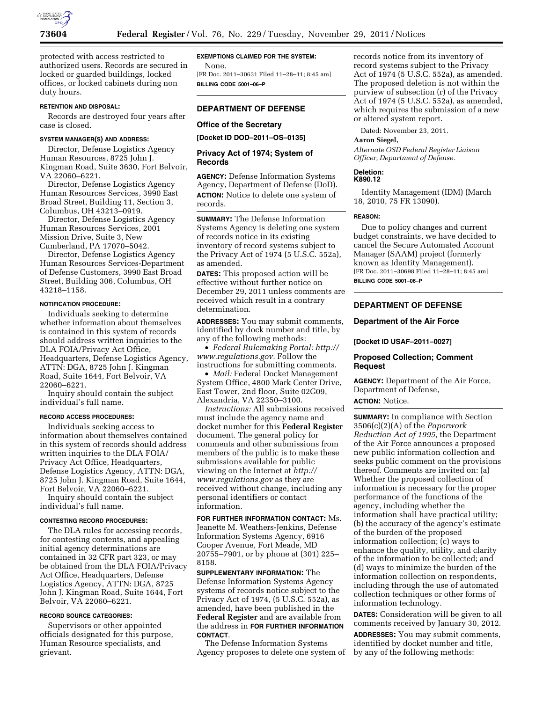

protected with access restricted to authorized users. Records are secured in locked or guarded buildings, locked offices, or locked cabinets during non duty hours.

### **RETENTION AND DISPOSAL:**

Records are destroyed four years after case is closed.

# **SYSTEM MANAGER(S) AND ADDRESS:**

Director, Defense Logistics Agency Human Resources, 8725 John J. Kingman Road, Suite 3630, Fort Belvoir, VA 22060–6221.

Director, Defense Logistics Agency Human Resources Services, 3990 East Broad Street, Building 11, Section 3, Columbus, OH 43213–0919.

Director, Defense Logistics Agency Human Resources Services, 2001 Mission Drive, Suite 3, New Cumberland, PA 17070–5042.

Director, Defense Logistics Agency Human Resources Services-Department of Defense Customers, 3990 East Broad Street, Building 306, Columbus, OH 43218–1158.

### **NOTIFICATION PROCEDURE:**

Individuals seeking to determine whether information about themselves is contained in this system of records should address written inquiries to the DLA FOIA/Privacy Act Office, Headquarters, Defense Logistics Agency, ATTN: DGA, 8725 John J. Kingman Road, Suite 1644, Fort Belvoir, VA 22060–6221.

Inquiry should contain the subject individual's full name.

## **RECORD ACCESS PROCEDURES:**

Individuals seeking access to information about themselves contained in this system of records should address written inquiries to the DLA FOIA/ Privacy Act Office, Headquarters, Defense Logistics Agency, ATTN: DGA, 8725 John J. Kingman Road, Suite 1644, Fort Belvoir, VA 22060–6221.

Inquiry should contain the subject individual's full name.

### **CONTESTING RECORD PROCEDURES:**

The DLA rules for accessing records, for contesting contents, and appealing initial agency determinations are contained in 32 CFR part 323, or may be obtained from the DLA FOIA/Privacy Act Office, Headquarters, Defense Logistics Agency, ATTN: DGA, 8725 John J. Kingman Road, Suite 1644, Fort Belvoir, VA 22060–6221.

# **RECORD SOURCE CATEGORIES:**

Supervisors or other appointed officials designated for this purpose, Human Resource specialists, and grievant.

### **EXEMPTIONS CLAIMED FOR THE SYSTEM:**

None. [FR Doc. 2011–30631 Filed 11–28–11; 8:45 am] **BILLING CODE 5001–06–P** 

# **DEPARTMENT OF DEFENSE**

# **Office of the Secretary**

**[Docket ID DOD–2011–OS–0135]** 

# **Privacy Act of 1974; System of Records**

**AGENCY:** Defense Information Systems Agency, Department of Defense (DoD). **ACTION:** Notice to delete one system of records.

**SUMMARY:** The Defense Information Systems Agency is deleting one system of records notice in its existing inventory of record systems subject to the Privacy Act of 1974 (5 U.S.C. 552a), as amended.

**DATES:** This proposed action will be effective without further notice on December 29, 2011 unless comments are received which result in a contrary determination.

**ADDRESSES:** You may submit comments, identified by dock number and title, by any of the following methods:

• *Federal Rulemaking Portal: [http://](http://www.regulations.gov) [www.regulations.gov.](http://www.regulations.gov)* Follow the instructions for submitting comments.

• *Mail:* Federal Docket Management System Office, 4800 Mark Center Drive, East Tower, 2nd floor, Suite 02G09, Alexandria, VA 22350–3100.

*Instructions:* All submissions received must include the agency name and docket number for this **Federal Register**  document. The general policy for comments and other submissions from members of the public is to make these submissions available for public viewing on the Internet at *[http://](http://www.regulations.gov) [www.regulations.gov](http://www.regulations.gov)* as they are received without change, including any personal identifiers or contact information.

**FOR FURTHER INFORMATION CONTACT:** Ms. Jeanette M. Weathers-Jenkins, Defense Information Systems Agency, 6916 Cooper Avenue, Fort Meade, MD 20755–7901, or by phone at (301) 225– 8158.

**SUPPLEMENTARY INFORMATION:** The Defense Information Systems Agency systems of records notice subject to the Privacy Act of 1974, (5 U.S.C. 552a), as amended, have been published in the **Federal Register** and are available from the address in **FOR FURTHER INFORMATION CONTACT**.

The Defense Information Systems Agency proposes to delete one system of records notice from its inventory of record systems subject to the Privacy Act of 1974 (5 U.S.C. 552a), as amended. The proposed deletion is not within the purview of subsection (r) of the Privacy Act of 1974 (5 U.S.C. 552a), as amended, which requires the submission of a new or altered system report.

Dated: November 23, 2011.

### **Aaron Siegel,**

*Alternate OSD Federal Register Liaison Officer, Department of Defense.* 

#### **Deletion: K890.12**

Identity Management (IDM) (March 18, 2010, 75 FR 13090).

#### **REASON:**

Due to policy changes and current budget constraints, we have decided to cancel the Secure Automated Account Manager (SAAM) project (formerly known as Identity Management). [FR Doc. 2011–30698 Filed 11–28–11; 8:45 am] **BILLING CODE 5001–06–P** 

## **DEPARTMENT OF DEFENSE**

### **Department of the Air Force**

**[Docket ID USAF–2011–0027]** 

# **Proposed Collection; Comment Request**

**AGENCY:** Department of the Air Force, Department of Defense, **ACTION:** Notice.

**SUMMARY:** In compliance with Section 3506(c)(2)(A) of the *Paperwork Reduction Act of 1995,* the Department of the Air Force announces a proposed new public information collection and seeks public comment on the provisions thereof. Comments are invited on: (a) Whether the proposed collection of information is necessary for the proper performance of the functions of the agency, including whether the information shall have practical utility; (b) the accuracy of the agency's estimate of the burden of the proposed information collection; (c) ways to enhance the quality, utility, and clarity of the information to be collected; and (d) ways to minimize the burden of the information collection on respondents, including through the use of automated collection techniques or other forms of information technology.

**DATES:** Consideration will be given to all comments received by January 30, 2012.

**ADDRESSES:** You may submit comments, identified by docket number and title, by any of the following methods: